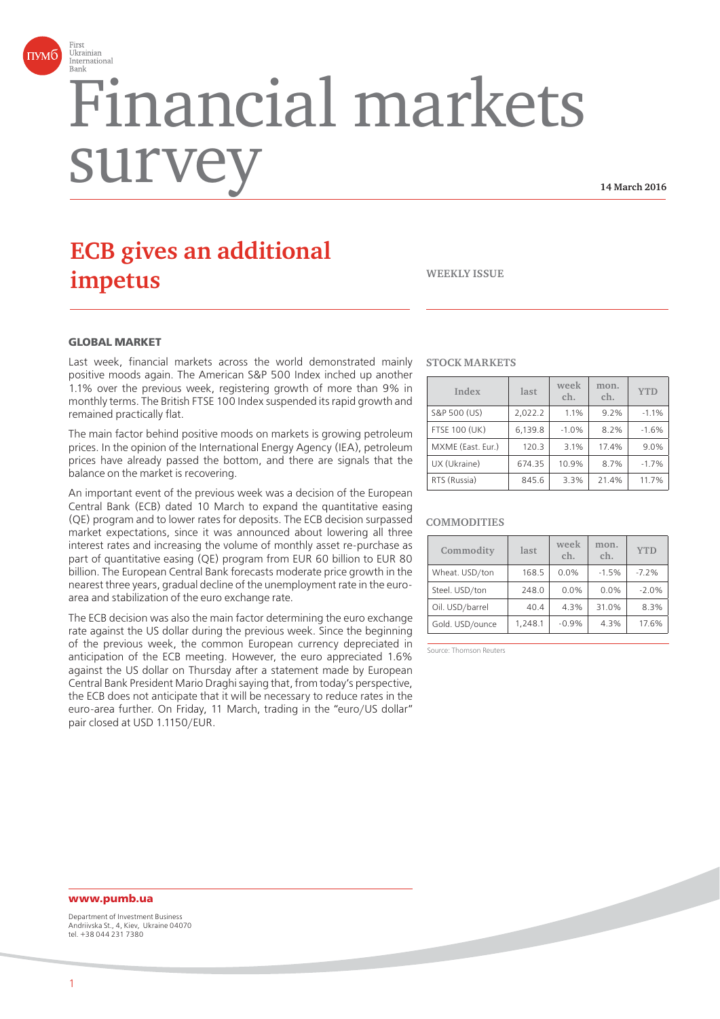

# Financial markets surv

**14 March 2016**

# **ECB gives an additional impetus**

**WEEKLY ISSUE**

#### **GLOBAL MARKET**

Last week, financial markets across the world demonstrated mainly positive moods again. The American S&P 500 Index inched up another 1.1% over the previous week, registering growth of more than 9% in monthly terms. The British FTSE 100 Index suspended its rapid growth and remained practically flat.

The main factor behind positive moods on markets is growing petroleum prices. In the opinion of the International Energy Agency (IEA), petroleum prices have already passed the bottom, and there are signals that the balance on the market is recovering.

An important event of the previous week was a decision of the European Central Bank (ECB) dated 10 March to expand the quantitative easing (QE) program and to lower rates for deposits. The ECB decision surpassed market expectations, since it was announced about lowering all three interest rates and increasing the volume of monthly asset re-purchase as part of quantitative easing (QE) program from EUR 60 billion to EUR 80 billion. The European Central Bank forecasts moderate price growth in the nearest three years, gradual decline of the unemployment rate in the euroarea and stabilization of the euro exchange rate.

The ECB decision was also the main factor determining the euro exchange rate against the US dollar during the previous week. Since the beginning of the previous week, the common European currency depreciated in anticipation of the ECB meeting. However, the euro appreciated 1.6% against the US dollar on Thursday after a statement made by European Central Bank President Mario Draghi saying that, from today's perspective, the ECB does not anticipate that it will be necessary to reduce rates in the euro-area further. On Friday, 11 March, trading in the "euro/US dollar" pair closed at USD 1.1150/EUR.

#### **STOCK MARKETS**

| Index                | last    | week<br>ch. | mon.<br>ch. | <b>YTD</b> |
|----------------------|---------|-------------|-------------|------------|
| S&P 500 (US)         | 2.022.2 | 1.1%        | 9.2%        | $-1.1%$    |
| <b>FTSE 100 (UK)</b> | 6,139.8 | $-1.0%$     | 8.2%        | $-1.6%$    |
| MXME (East. Eur.)    | 120.3   | 3.1%        | 17.4%       | 9.0%       |
| UX (Ukraine)         | 674.35  | 10.9%       | 8.7%        | $-1.7%$    |
| RTS (Russia)         | 845.6   | 3.3%        | 21.4%       | 11.7%      |

#### **COMMODITIES**

| Commodity       | last    | week<br>ch. | mon.<br>ch. | <b>YTD</b> |
|-----------------|---------|-------------|-------------|------------|
| Wheat. USD/ton  | 168.5   | 0.0%        | $-1.5%$     | $-7.2%$    |
| Steel. USD/ton  | 248.0   | 0.0%        | 0.0%        | $-2.0%$    |
| Oil. USD/barrel | 40.4    | 4.3%        | 31.0%       | 8.3%       |
| Gold. USD/ounce | 1,248.1 | $-0.9%$     | 4.3%        | 17.6%      |

Source: Thomson Reuters

## **www.pumb.ua**

Department of Investment Business Andriivska St., 4, Kiev, Ukraine 04070 tel. +38 044 231 7380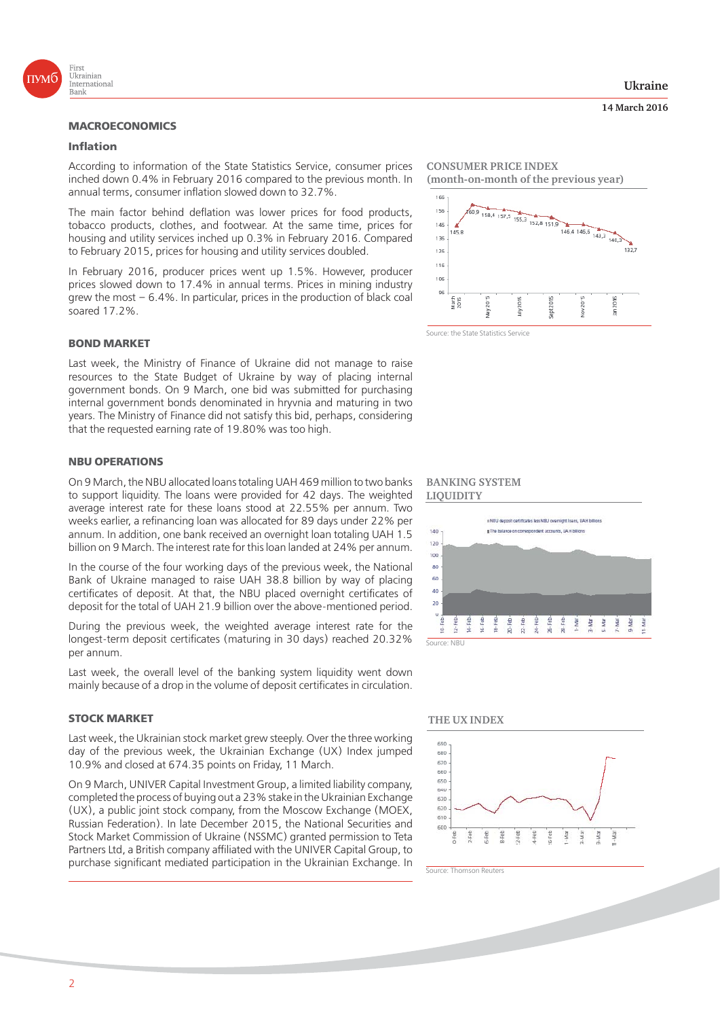

# **MACROECONOMICS**

#### **Inflation**

According to information of the State Statistics Service, consumer prices inched down 0.4% in February 2016 compared to the previous month. In annual terms, consumer inflation slowed down to 32.7%.

The main factor behind deflation was lower prices for food products, tobacco products, clothes, and footwear. At the same time, prices for housing and utility services inched up 0.3% in February 2016. Compared to February 2015, prices for housing and utility services doubled.

In February 2016, producer prices went up 1.5%. However, producer prices slowed down to 17.4% in annual terms. Prices in mining industry grew the most – 6.4%. In particular, prices in the production of black coal soared 17.2%.

#### **BOND MARKET**

Last week, the Ministry of Finance of Ukraine did not manage to raise resources to the State Budget of Ukraine by way of placing internal government bonds. On 9 March, one bid was submitted for purchasing internal government bonds denominated in hryvnia and maturing in two years. The Ministry of Finance did not satisfy this bid, perhaps, considering that the requested earning rate of 19.80% was too high.

#### **NBU OPERATIONS**

On 9 March, the NBU allocated loans totaling UAH 469 million to two banks to support liquidity. The loans were provided for 42 days. The weighted average interest rate for these loans stood at 22.55% per annum. Two weeks earlier, a refinancing loan was allocated for 89 days under 22% per annum. In addition, one bank received an overnight loan totaling UAH 1.5 billion on 9 March. The interest rate for this loan landed at 24% per annum.

In the course of the four working days of the previous week, the National Bank of Ukraine managed to raise UAH 38.8 billion by way of placing certificates of deposit. At that, the NBU placed overnight certificates of deposit for the total of UAH 21.9 billion over the above-mentioned period.

During the previous week, the weighted average interest rate for the longest-term deposit certificates (maturing in 30 days) reached 20.32% per annum.

Last week, the overall level of the banking system liquidity went down mainly because of a drop in the volume of deposit certificates in circulation.

#### **STOCK MARKET**

Last week, the Ukrainian stock market grew steeply. Over the three working day of the previous week, the Ukrainian Exchange (UX) Index jumped 10.9% and closed at 674.35 points on Friday, 11 March.

On 9 March, UNIVER Capital Investment Group, a limited liability company, completed the process of buying out a 23% stake in the Ukrainian Exchange (UX), a public joint stock company, from the Moscow Exchange (MOEX, Russian Federation). In late December 2015, the National Securities and Stock Market Commission of Ukraine (NSSMC) granted permission to Teta Partners Ltd, a British company affiliated with the UNIVER Capital Group, to purchase significant mediated participation in the Ukrainian Exchange. In **CONSUMER PRICE INDEX (month-on-month of the previous year)**



#### **BANKING SYSTEM LIQUIDITY**



#### **THE UX INDEX**





**14 March 2016**

2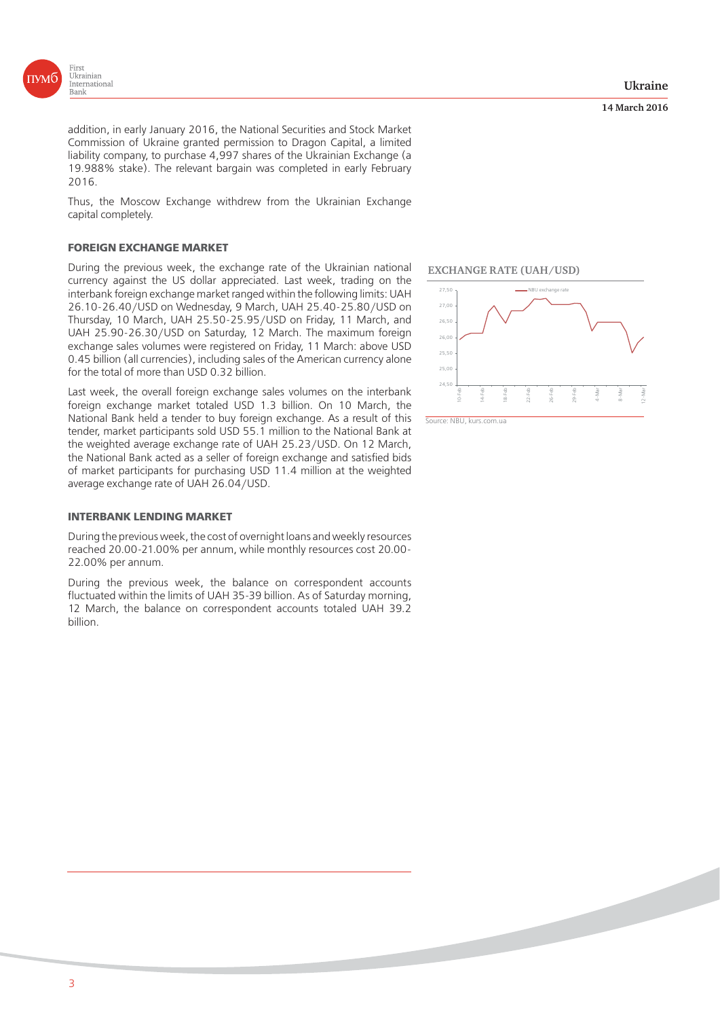

addition, in early January 2016, the National Securities and Stock Market Commission of Ukraine granted permission to Dragon Capital, a limited liability company, to purchase 4,997 shares of the Ukrainian Exchange (a 19.988% stake). The relevant bargain was completed in early February 2016.

Thus, the Moscow Exchange withdrew from the Ukrainian Exchange capital completely.

#### **FOREIGN EXCHANGE MARKET**

During the previous week, the exchange rate of the Ukrainian national currency against the US dollar appreciated. Last week, trading on the interbank foreign exchange market ranged within the following limits: UAH 26.10-26.40/USD on Wednesday, 9 March, UAH 25.40-25.80/USD on Thursday, 10 March, UAH 25.50-25.95/USD on Friday, 11 March, and UAH 25.90-26.30/USD on Saturday, 12 March. The maximum foreign exchange sales volumes were registered on Friday, 11 March: above USD 0.45 billion (all currencies), including sales of the American currency alone for the total of more than USD 0.32 billion.

Last week, the overall foreign exchange sales volumes on the interbank foreign exchange market totaled USD 1.3 billion. On 10 March, the National Bank held a tender to buy foreign exchange. As a result of this tender, market participants sold USD 55.1 million to the National Bank at the weighted average exchange rate of UAH 25.23/USD. On 12 March, the National Bank acted as a seller of foreign exchange and satisfied bids of market participants for purchasing USD 11.4 million at the weighted average exchange rate of UAH 26.04/USD.

#### **INTERBANK LENDING MARKET**

During the previous week, the cost of overnight loans and weekly resources reached 20.00-21.00% per annum, while monthly resources cost 20.00- 22.00% per annum.

During the previous week, the balance on correspondent accounts fluctuated within the limits of UAH 35-39 billion. As of Saturday morning, 12 March, the balance on correspondent accounts totaled UAH 39.2 billion.



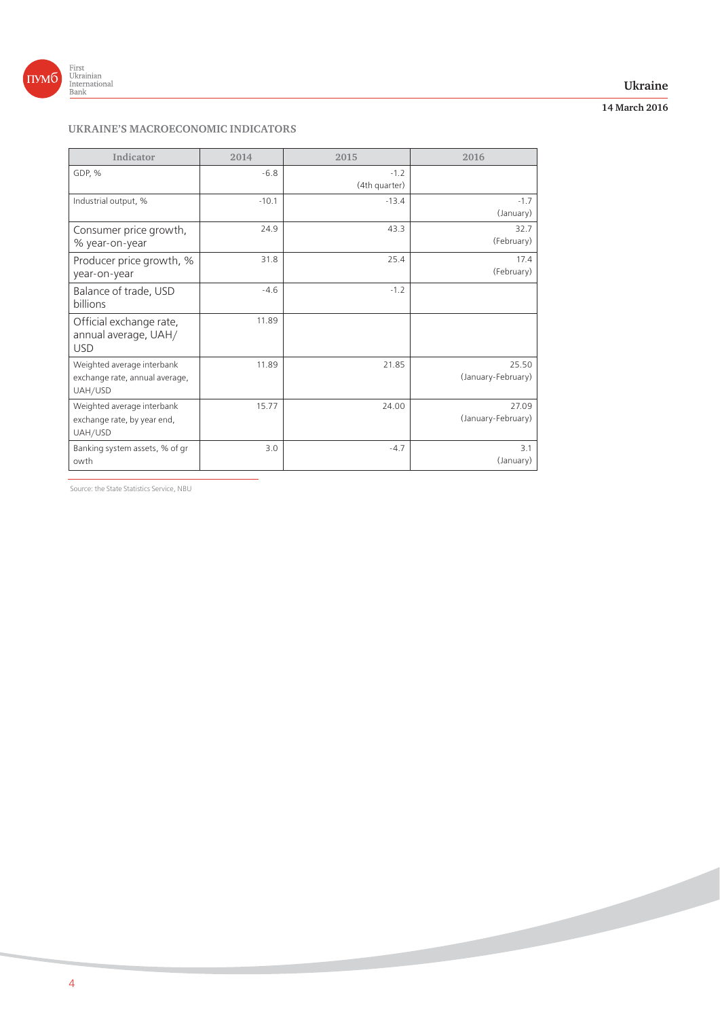

## **Ukraine**

# **14 March 2016**

# **UKRAINE'S MACROECONOMIC INDICATORS**

| Indicator                                                               | 2014    | 2015                    | 2016                        |
|-------------------------------------------------------------------------|---------|-------------------------|-----------------------------|
| GDP, %                                                                  | $-6.8$  | $-1.2$<br>(4th quarter) |                             |
| Industrial output, %                                                    | $-10.1$ | $-13.4$                 | $-1.7$<br>(January)         |
| Consumer price growth,<br>% year-on-year                                | 24.9    | 43.3                    | 32.7<br>(February)          |
| Producer price growth, %<br>year-on-year                                | 31.8    | 25.4                    | 17.4<br>(February)          |
| Balance of trade, USD<br><b>billions</b>                                | $-4.6$  | $-1.2$                  |                             |
| Official exchange rate,<br>annual average, UAH/<br><b>USD</b>           | 11.89   |                         |                             |
| Weighted average interbank<br>exchange rate, annual average,<br>UAH/USD | 11.89   | 21.85                   | 25.50<br>(January-February) |
| Weighted average interbank<br>exchange rate, by year end,<br>UAH/USD    | 15.77   | 24.00                   | 27.09<br>(January-February) |
| Banking system assets, % of gr<br>owth                                  | 3.0     | $-4.7$                  | 3.1<br>(January)            |

Source: the State Statistics Service, NBU